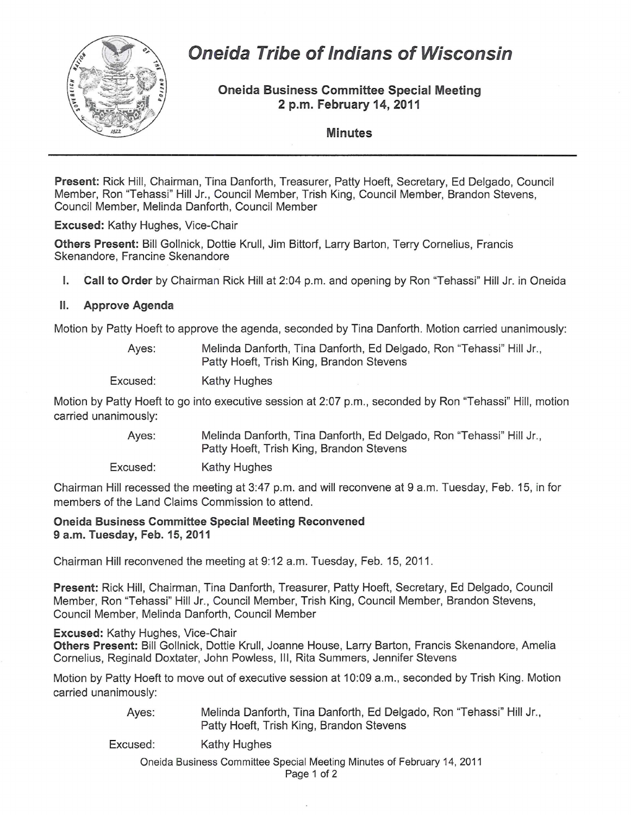

# **Oneida Tribe of Indians of Wisconsin**

Oneida Business Committee Special Meeting 2 p.m. February 14, 2011

Minutes

Present: Rick Hill, Chairman, Tina Danforth, Treasurer, Patty Hoeft, Secretary, Ed Delgado, Council Member, Ron "Tehassi" Hill Jr., Council Member, Trish King, Council Member, Brandon Stevens, Council Member, Melinda Danforth, Council Member

Excused: Kathy Hughes, Vice-Chair

Others Present: Bill Gollnick, Dottie Krull, Jim Bittorf, Larry Barton, Terry Cornelius, Francis Skenandore, Francine Skenandore

I. Call to Order by Chairman Rick Hill at 2:04 p.m. and opening by Ron "Tehassi" Hill Jr. in Oneida

## II. Approve Agenda

Motion by Patty Hoeft to approve the agenda, seconded by Tina Danforth. Motion carried unanimously:

| Ayes: | Melinda Danforth, Tina Danforth, Ed Delgado, Ron "Tehassi" Hill Jr., |
|-------|----------------------------------------------------------------------|
|       | Patty Hoeft, Trish King, Brandon Stevens                             |
|       |                                                                      |

Excused: Kathy Hughes

Motion by Patty Hoeft to go into executive session at 2:07 p.m., seconded by Ron "Tehassi" Hill, motion carried unanimously:

> Ayes: Melinda Danforth, Tina Danforth, Ed Delgado, Ron "Tehassi" Hill Jr., Patty Hoeft, Trish King, Brandon Stevens

Excused: Kathy Hughes

Chairman Hill recessed the meeting at 3:47 p.m. and will reconvene at 9 a.m. Tuesday, Feb. 15, in for members of the Land Claims Commission to attend.

#### Oneida Business Committee Special Meeting Reconvened 9 a.m. Tuesday, Feb. 15, 2011

Chairman Hill reconvened the meeting at 9: 12 a.m. Tuesday, Feb. 15, 2011.

Present: Rick Hill, Chairman, Tina Danforth, Treasurer, Patty Hoeft, Secretary, Ed Delgado, Council Member, Ron "Tehassi" Hill Jr., Council Member, Trish King, Council Member, Brandon Stevens, Council Member, Melinda Danforth, Council Member

Excused: Kathy Hughes, Vice-Chair

Others Present: Bill Gollnick, Dottie Krull, Joanne House, Larry Barton, Francis Skenandore, Amelia Cornelius, Reginald Doxtater, John Powless, III, Rita Summers, Jennifer Stevens

Motion by Patty Hoeft to move out of executive session at 10:09 a.m., seconded by Trish King. Motion carried unanimously:

> Ayes: Melinda Danforth, Tina Danforth, Ed Delgado, Ron "Tehassi" Hill Jr., Patty Hoeft, Trish King, Brandon Stevens

Excused: Kathy Hughes

Oneida Business Committee Special Meeting Minutes of February 14, 2011

Page 1 of 2